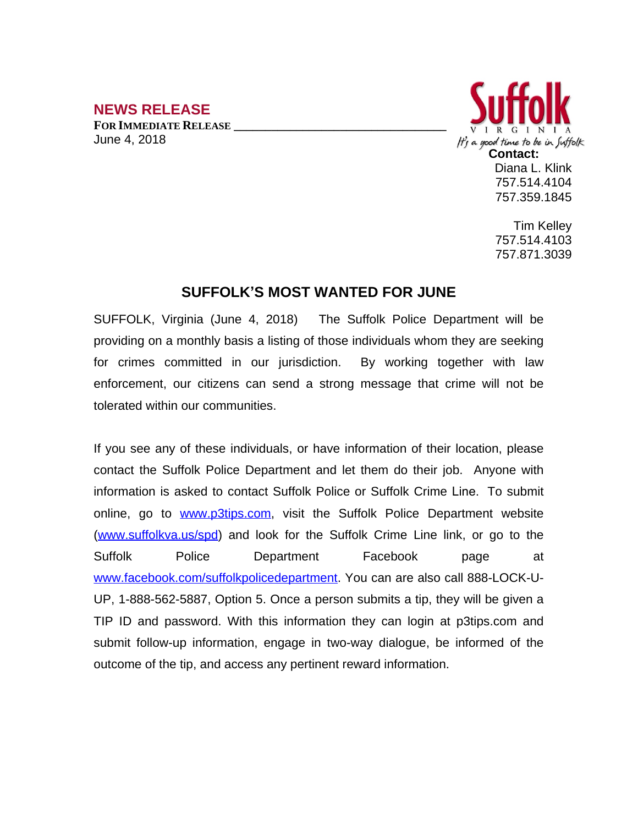## **NEWS RELEASE**

**FOR IMMEDIATE RELEASE \_\_\_\_\_\_\_\_\_\_\_\_\_\_\_\_\_\_\_\_\_\_\_\_\_\_\_\_\_\_\_\_\_\_** June 4, 2018



Tim Kelley 757.514.4103 757.871.3039

## **SUFFOLK'S MOST WANTED FOR JUNE**

SUFFOLK, Virginia (June 4, 2018) The Suffolk Police Department will be providing on a monthly basis a listing of those individuals whom they are seeking for crimes committed in our jurisdiction. By working together with law enforcement, our citizens can send a strong message that crime will not be tolerated within our communities.

If you see any of these individuals, or have information of their location, please contact the Suffolk Police Department and let them do their job. Anyone with information is asked to contact Suffolk Police or Suffolk Crime Line. To submit online, go to [www.p3tips.com](http://www.p3tips.com), visit the Suffolk Police Department website ([www.suffolkva.us/spd](http://www.suffolkva.us/spd)) and look for the Suffolk Crime Line link, or go to the Suffolk Police Department Facebook page at [www.facebook.com/suffolkpolicedepartment](http://www.facebook.com/suffolkpolicedepartment). You can are also call 888-LOCK-U-UP, 1-888-562-5887, Option 5. Once a person submits a tip, they will be given a TIP ID and password. With this information they can login at p3tips.com and submit follow-up information, engage in two-way dialogue, be informed of the outcome of the tip, and access any pertinent reward information.